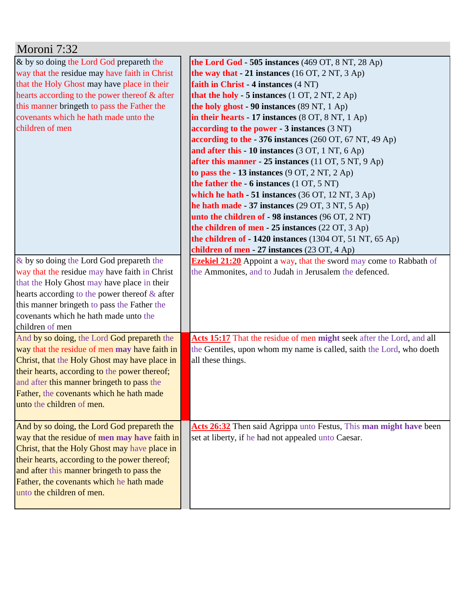| Moroni 7:32                                                                                  |                                                                           |
|----------------------------------------------------------------------------------------------|---------------------------------------------------------------------------|
| & by so doing the Lord God prepareth the                                                     | the Lord God - 505 instances $(469$ OT, $8$ NT, $28$ Ap)                  |
| way that the residue may have faith in Christ                                                | the way that - 21 instances (16 OT, 2 NT, 3 Ap)                           |
| that the Holy Ghost may have place in their                                                  | faith in Christ - 4 instances (4 NT)                                      |
| hearts according to the power thereof & after                                                | that the holy - 5 instances $(1 OT, 2 NT, 2 Ap)$                          |
| this manner bringeth to pass the Father the                                                  | the holy ghost - 90 instances (89 NT, 1 Ap)                               |
| covenants which he hath made unto the                                                        | in their hearts - 17 instances $(8 OT, 8 NT, 1 Ap)$                       |
| children of men                                                                              | according to the power $-3$ instances $(3 \text{ NT})$                    |
|                                                                                              | according to the $-376$ instances (260 OT, 67 NT, 49 Ap)                  |
|                                                                                              | and after this - 10 instances $(3 OT, 1 NT, 6 Ap)$                        |
|                                                                                              | after this manner - 25 instances (11 OT, 5 NT, 9 Ap)                      |
|                                                                                              | to pass the $-13$ instances $(9 \text{ OT}, 2 \text{ NT}, 2 \text{ Ap})$  |
|                                                                                              | the father the $-6$ instances $(1 OT, 5 NT)$                              |
|                                                                                              | which he hath $-51$ instances (36 OT, 12 NT, 3 Ap)                        |
|                                                                                              | he hath made - 37 instances (29 OT, 3 NT, 5 Ap)                           |
|                                                                                              | unto the children of - 98 instances (96 OT, 2 NT)                         |
|                                                                                              | the children of men $-25$ instances (22 OT, 3 Ap)                         |
|                                                                                              | the children of - 1420 instances (1304 OT, 51 NT, 65 Ap)                  |
|                                                                                              | children of men - 27 instances $(23 \text{ OT}, 4 \text{ Ap})$            |
| & by so doing the Lord God prepareth the                                                     | <b>Ezekiel 21:20</b> Appoint a way, that the sword may come to Rabbath of |
| way that the residue may have faith in Christ                                                | the Ammonites, and to Judah in Jerusalem the defenced.                    |
| that the Holy Ghost may have place in their                                                  |                                                                           |
| hearts according to the power thereof $\&$ after                                             |                                                                           |
| this manner bringeth to pass the Father the                                                  |                                                                           |
| covenants which he hath made unto the                                                        |                                                                           |
| children of men                                                                              | Acts 15:17 That the residue of men might seek after the Lord, and all     |
| And by so doing, the Lord God prepareth the<br>way that the residue of men may have faith in | the Gentiles, upon whom my name is called, saith the Lord, who doeth      |
| Christ, that the Holy Ghost may have place in                                                | all these things.                                                         |
| their hearts, according to the power thereof;                                                |                                                                           |
| and after this manner bringeth to pass the                                                   |                                                                           |
| Father, the covenants which he hath made                                                     |                                                                           |
| unto the children of men.                                                                    |                                                                           |
|                                                                                              |                                                                           |
| And by so doing, the Lord God prepareth the                                                  | Acts 26:32 Then said Agrippa unto Festus, This man might have been        |
| way that the residue of men may have faith in                                                | set at liberty, if he had not appealed unto Caesar.                       |
| Christ, that the Holy Ghost may have place in                                                |                                                                           |
| their hearts, according to the power thereof;                                                |                                                                           |
| and after this manner bringeth to pass the                                                   |                                                                           |
| Father, the covenants which he hath made                                                     |                                                                           |
| unto the children of men.                                                                    |                                                                           |
|                                                                                              |                                                                           |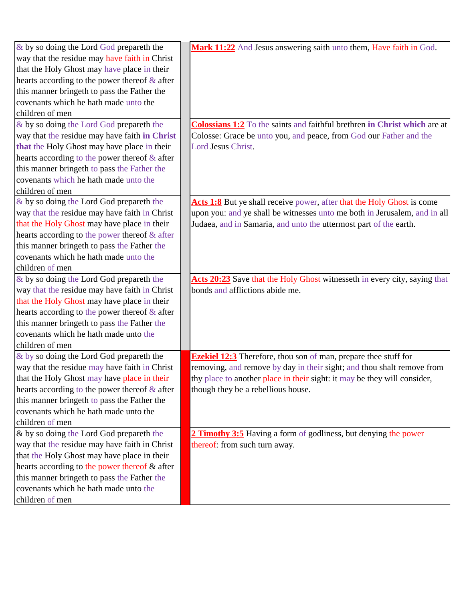| $\&$ by so doing the Lord God prepareth the      | Mark 11:22 And Jesus answering saith unto them, Have faith in God.        |
|--------------------------------------------------|---------------------------------------------------------------------------|
| way that the residue may have faith in Christ    |                                                                           |
| that the Holy Ghost may have place in their      |                                                                           |
| hearts according to the power thereof $\&$ after |                                                                           |
| this manner bringeth to pass the Father the      |                                                                           |
| covenants which he hath made unto the            |                                                                           |
| children of men                                  |                                                                           |
| & by so doing the Lord God prepareth the         | Colossians 1:2 To the saints and faithful brethren in Christ which are at |
| way that the residue may have faith in Christ    | Colosse: Grace be unto you, and peace, from God our Father and the        |
| that the Holy Ghost may have place in their      | Lord Jesus Christ.                                                        |
| hearts according to the power thereof & after    |                                                                           |
| this manner bringeth to pass the Father the      |                                                                           |
| covenants which he hath made unto the            |                                                                           |
| children of men                                  |                                                                           |
| & by so doing the Lord God prepareth the         | Acts 1:8 But ye shall receive power, after that the Holy Ghost is come    |
| way that the residue may have faith in Christ    | upon you: and ye shall be witnesses unto me both in Jerusalem, and in all |
| that the Holy Ghost may have place in their      | Judaea, and in Samaria, and unto the uttermost part of the earth.         |
| hearts according to the power thereof $\&$ after |                                                                           |
| this manner bringeth to pass the Father the      |                                                                           |
| covenants which he hath made unto the            |                                                                           |
| children of men                                  |                                                                           |
| & by so doing the Lord God prepareth the         | Acts 20:23 Save that the Holy Ghost witnesseth in every city, saying that |
| way that the residue may have faith in Christ    | bonds and afflictions abide me.                                           |
| that the Holy Ghost may have place in their      |                                                                           |
| hearts according to the power thereof $\&$ after |                                                                           |
| this manner bringeth to pass the Father the      |                                                                           |
| covenants which he hath made unto the            |                                                                           |
| children of men                                  |                                                                           |
| & by so doing the Lord God prepareth the         | <b>Ezekiel 12:3</b> Therefore, thou son of man, prepare thee stuff for    |
| way that the residue may have faith in Christ    | removing, and remove by day in their sight; and thou shalt remove from    |
| that the Holy Ghost may have place in their      | thy place to another place in their sight: it may be they will consider,  |
| hearts according to the power thereof $\&$ after | though they be a rebellious house.                                        |
| this manner bringeth to pass the Father the      |                                                                           |
| covenants which he hath made unto the            |                                                                           |
| children of men                                  |                                                                           |
| $\&$ by so doing the Lord God prepareth the      | 2 Timothy 3:5 Having a form of godliness, but denying the power           |
| way that the residue may have faith in Christ    | thereof: from such turn away.                                             |
| that the Holy Ghost may have place in their      |                                                                           |
| hearts according to the power thereof & after    |                                                                           |
| this manner bringeth to pass the Father the      |                                                                           |
| covenants which he hath made unto the            |                                                                           |
| children of men                                  |                                                                           |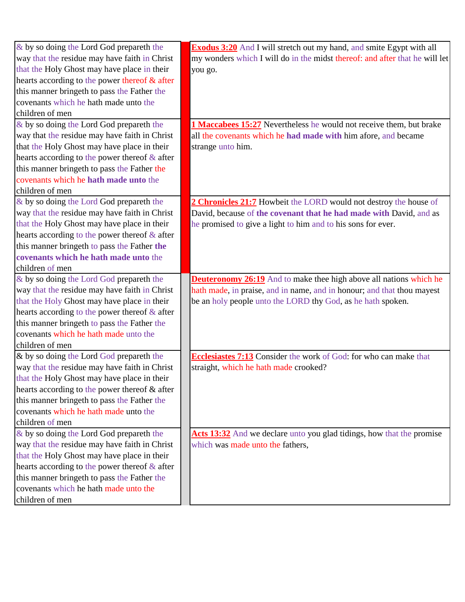| & by so doing the Lord God prepareth the         | <b>Exodus 3:20</b> And I will stretch out my hand, and smite Egypt with all |
|--------------------------------------------------|-----------------------------------------------------------------------------|
| way that the residue may have faith in Christ    | my wonders which I will do in the midst thereof: and after that he will let |
| that the Holy Ghost may have place in their      | you go.                                                                     |
| hearts according to the power thereof & after    |                                                                             |
| this manner bringeth to pass the Father the      |                                                                             |
| covenants which he hath made unto the            |                                                                             |
| children of men                                  |                                                                             |
| & by so doing the Lord God prepareth the         | 1 Maccabees 15:27 Nevertheless he would not receive them, but brake         |
| way that the residue may have faith in Christ    | all the covenants which he had made with him afore, and became              |
| that the Holy Ghost may have place in their      | strange unto him.                                                           |
| hearts according to the power thereof & after    |                                                                             |
| this manner bringeth to pass the Father the      |                                                                             |
| covenants which he hath made unto the            |                                                                             |
| children of men                                  |                                                                             |
| & by so doing the Lord God prepareth the         | 2 Chronicles 21:7 Howbeit the LORD would not destroy the house of           |
| way that the residue may have faith in Christ    | David, because of the covenant that he had made with David, and as          |
| that the Holy Ghost may have place in their      | he promised to give a light to him and to his sons for ever.                |
| hearts according to the power thereof $\&$ after |                                                                             |
| this manner bringeth to pass the Father the      |                                                                             |
| covenants which he hath made unto the            |                                                                             |
| children of men                                  |                                                                             |
| & by so doing the Lord God prepareth the         | <b>Deuteronomy 26:19</b> And to make thee high above all nations which he   |
| way that the residue may have faith in Christ    | hath made, in praise, and in name, and in honour; and that thou mayest      |
| that the Holy Ghost may have place in their      | be an holy people unto the LORD thy God, as he hath spoken.                 |
| hearts according to the power thereof $\&$ after |                                                                             |
| this manner bringeth to pass the Father the      |                                                                             |
| covenants which he hath made unto the            |                                                                             |
| children of men                                  |                                                                             |
| $\&$ by so doing the Lord God prepareth the      | <b>Ecclesiastes 7:13</b> Consider the work of God: for who can make that    |
| way that the residue may have faith in Christ    | straight, which he hath made crooked?                                       |
| that the Holy Ghost may have place in their      |                                                                             |
| hearts according to the power thereof & after    |                                                                             |
| this manner bringeth to pass the Father the      |                                                                             |
| covenants which he hath made unto the            |                                                                             |
| children of men                                  |                                                                             |
| & by so doing the Lord God prepareth the         | Acts 13:32 And we declare unto you glad tidings, how that the promise       |
| way that the residue may have faith in Christ    | which was made unto the fathers,                                            |
| that the Holy Ghost may have place in their      |                                                                             |
| hearts according to the power thereof $\&$ after |                                                                             |
| this manner bringeth to pass the Father the      |                                                                             |
| covenants which he hath made unto the            |                                                                             |
| children of men                                  |                                                                             |